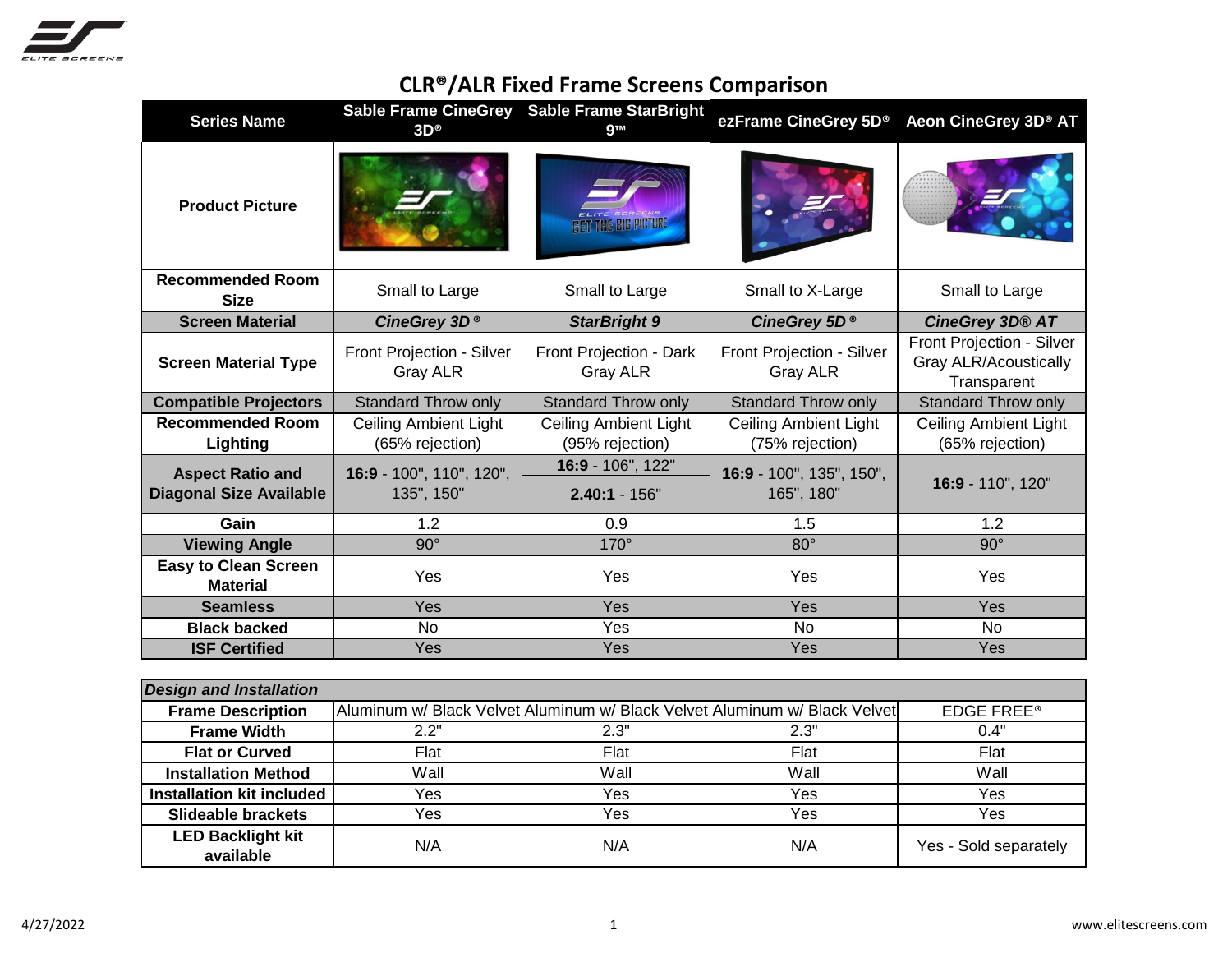

## **CLR®/ALR Fixed Frame Screens Comparison**

| <b>Series Name</b>                                        | $3D^{\circ}$                                    | Sable Frame CineGrey Sable Frame StarBright<br><b>gTM</b> | ezFrame CineGrey 5D <sup>®</sup>                | Aeon CineGrey 3D® AT                                                     |
|-----------------------------------------------------------|-------------------------------------------------|-----------------------------------------------------------|-------------------------------------------------|--------------------------------------------------------------------------|
| <b>Product Picture</b>                                    |                                                 |                                                           |                                                 |                                                                          |
| <b>Recommended Room</b><br><b>Size</b>                    | Small to Large                                  | Small to X-Large<br>Small to Large                        |                                                 | Small to Large                                                           |
| <b>Screen Material</b>                                    | CineGrey 3D <sup>®</sup>                        | <b>StarBright 9</b>                                       | CineGrey 5D <sup>®</sup>                        | CineGrey 3D® AT                                                          |
| <b>Screen Material Type</b>                               | Front Projection - Silver<br>Gray ALR           | Front Projection - Dark<br>Gray ALR                       | Front Projection - Silver<br>Gray ALR           | Front Projection - Silver<br><b>Gray ALR/Acoustically</b><br>Transparent |
| <b>Compatible Projectors</b>                              | <b>Standard Throw only</b>                      | <b>Standard Throw only</b>                                | <b>Standard Throw only</b>                      | <b>Standard Throw only</b>                                               |
| <b>Recommended Room</b><br>Lighting                       | <b>Ceiling Ambient Light</b><br>(65% rejection) | <b>Ceiling Ambient Light</b><br>(95% rejection)           | <b>Ceiling Ambient Light</b><br>(75% rejection) | <b>Ceiling Ambient Light</b><br>(65% rejection)                          |
| <b>Aspect Ratio and</b><br><b>Diagonal Size Available</b> | 16:9 - 100", 110", 120",<br>135", 150"          | 16:9 - 106", 122"<br>$2.40:1 - 156"$                      | 16:9 - 100", 135", 150",<br>165", 180"          | 16:9 - 110", 120"                                                        |
| Gain                                                      | 1.2                                             | 0.9                                                       | 1.5                                             | 1.2                                                                      |
| <b>Viewing Angle</b>                                      | $90^\circ$                                      | $170^\circ$                                               | $80^\circ$                                      | $90^\circ$                                                               |
| <b>Easy to Clean Screen</b><br><b>Material</b>            | Yes                                             | Yes                                                       | Yes                                             | Yes                                                                      |
| <b>Seamless</b>                                           | Yes                                             | Yes                                                       | Yes                                             | Yes                                                                      |
| <b>Black backed</b>                                       | <b>No</b>                                       | Yes                                                       | <b>No</b>                                       | <b>No</b>                                                                |
| <b>ISF Certified</b>                                      | Yes                                             | Yes                                                       | Yes                                             | Yes                                                                      |

| <b>Design and Installation</b>        |      |      |                                                                            |                       |
|---------------------------------------|------|------|----------------------------------------------------------------------------|-----------------------|
| <b>Frame Description</b>              |      |      | Aluminum w/ Black Velvet Aluminum w/ Black Velvet Aluminum w/ Black Velvet | <b>EDGE FREE®</b>     |
| <b>Frame Width</b>                    | 2.2" | 2.3" | 2.3"                                                                       | 0.4"                  |
| <b>Flat or Curved</b>                 | Flat | Flat | Flat                                                                       | Flat                  |
| <b>Installation Method</b>            | Wall | Wall | Wall                                                                       | Wall                  |
| <b>Installation kit included</b>      | Yes  | Yes  | Yes                                                                        | Yes                   |
| <b>Slideable brackets</b>             | Yes  | Yes  | Yes                                                                        | Yes                   |
| <b>LED Backlight kit</b><br>available | N/A  | N/A  | N/A                                                                        | Yes - Sold separately |